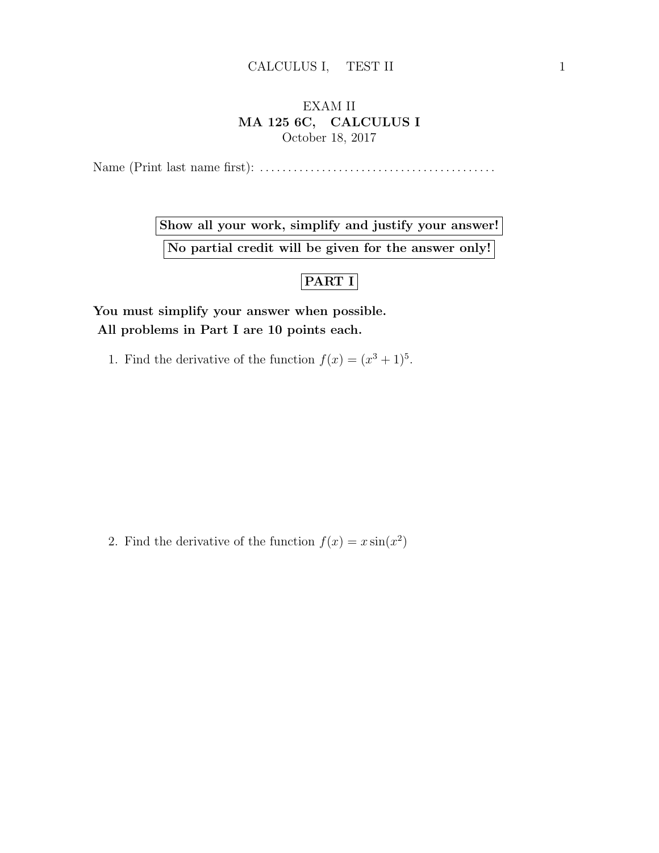## EXAM II MA 125 6C, CALCULUS I October 18, 2017

Name (Print last name first): . . . . . . . . . . . . . . . . . . . . . . . . . . . . . . . . . . . . . . . . . .

Show all your work, simplify and justify your answer! No partial credit will be given for the answer only!

## PART I

You must simplify your answer when possible. All problems in Part I are 10 points each.

1. Find the derivative of the function  $f(x) = (x^3 + 1)^5$ .

2. Find the derivative of the function  $f(x) = x \sin(x^2)$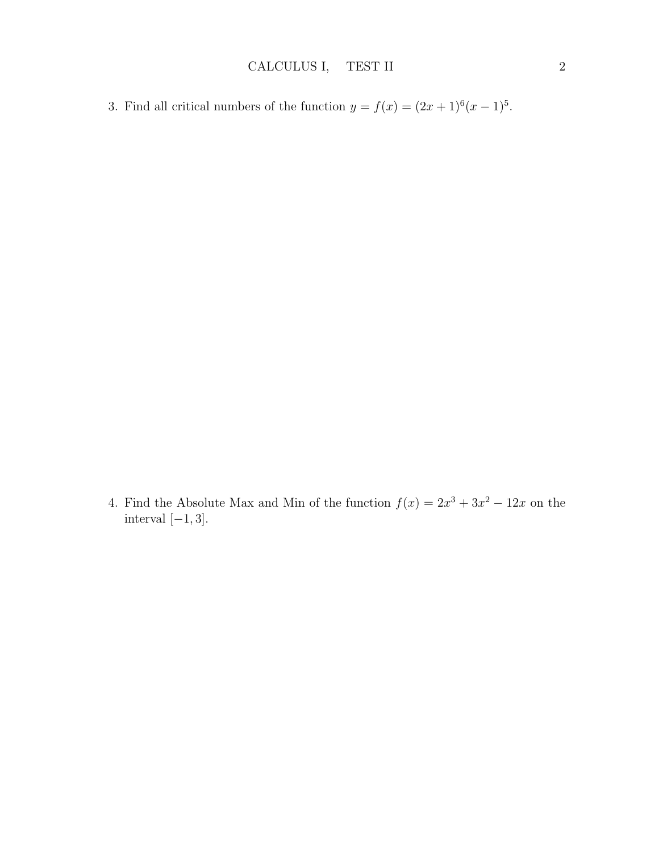3. Find all critical numbers of the function  $y = f(x) = (2x+1)^6(x-1)^5$ .

4. Find the Absolute Max and Min of the function  $f(x) = 2x^3 + 3x^2 - 12x$  on the interval  $[-1, 3]$ .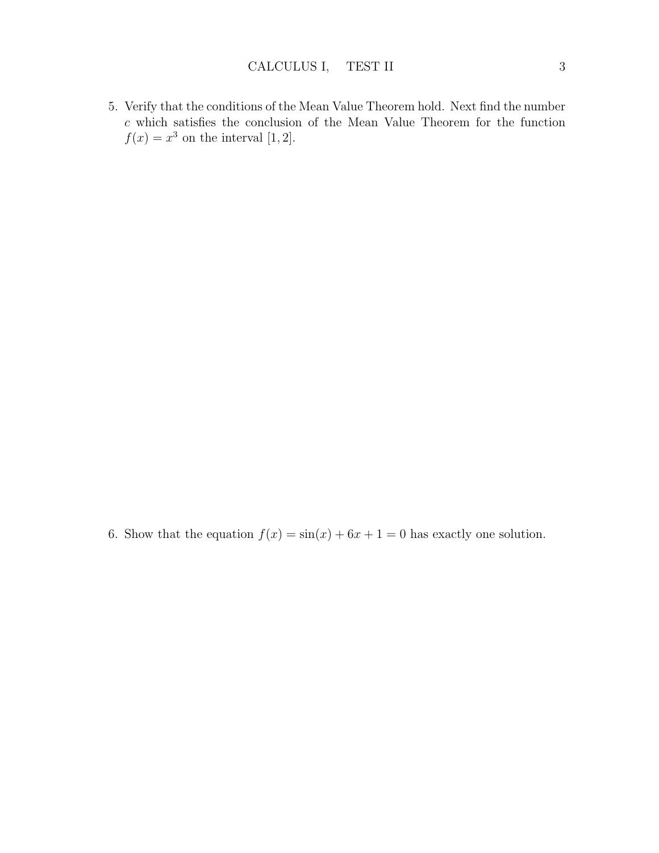5. Verify that the conditions of the Mean Value Theorem hold. Next find the number  $c$  which satisfies the conclusion of the Mean Value Theorem for the function  $f(x) = x^3$  on the interval [1, 2].

6. Show that the equation  $f(x) = \sin(x) + 6x + 1 = 0$  has exactly one solution.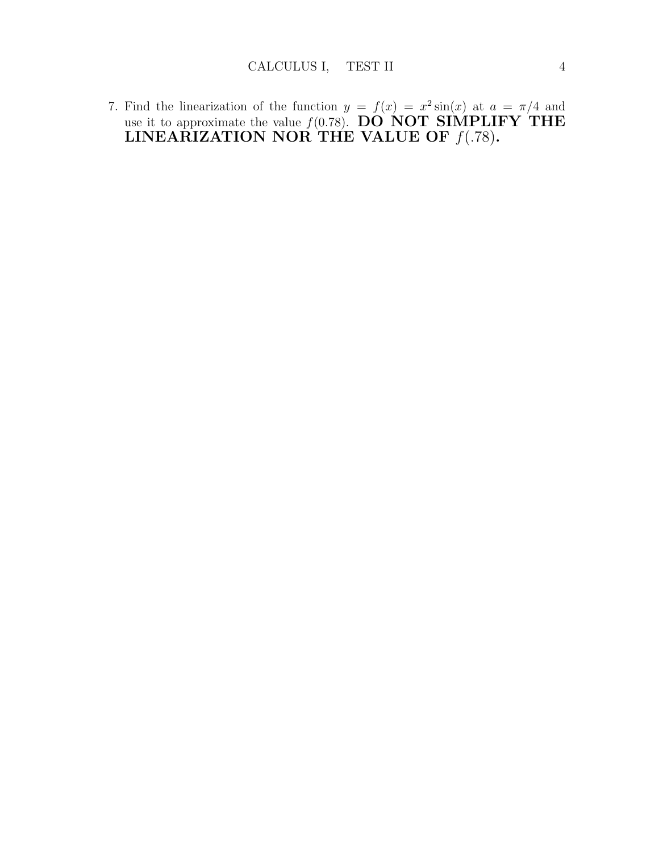7. Find the linearization of the function  $y = f(x) = x^2 \sin(x)$  at  $a = \pi/4$  and use it to approximate the value  $f(0.78)$ . DO NOT SIMPLIFY THE LINEARIZATION NOR THE VALUE OF  $f(.78)$ .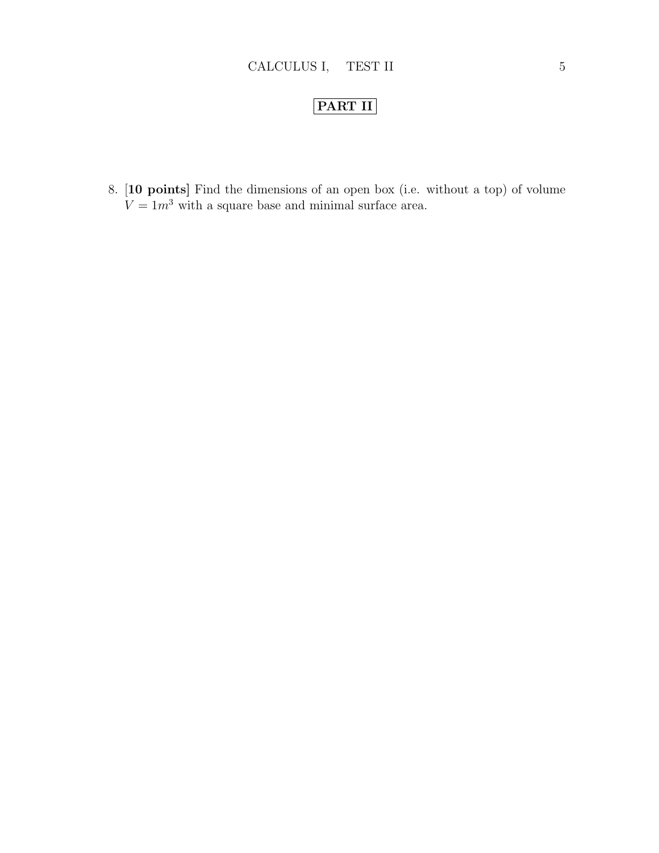## PART II

8. [10 points] Find the dimensions of an open box (i.e. without a top) of volume  $V = 1m<sup>3</sup>$  with a square base and minimal surface area.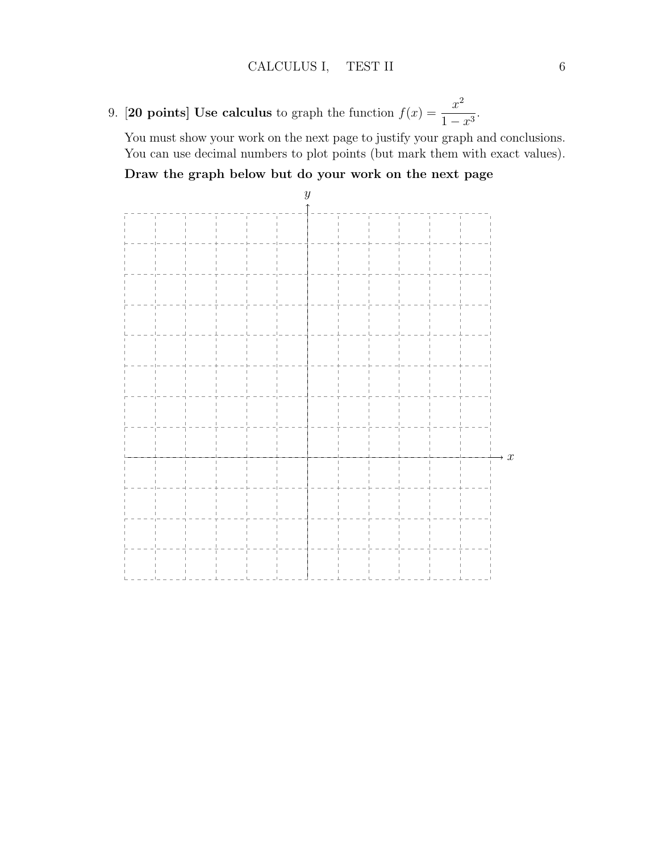9. **[20 points] Use calculus** to graph the function  $f(x) = \frac{x^2}{1+x^2}$  $\frac{x}{1-x^3}$ 

You must show your work on the next page to justify your graph and conclusions. You can use decimal numbers to plot points (but mark them with exact values).

Draw the graph below but do your work on the next page